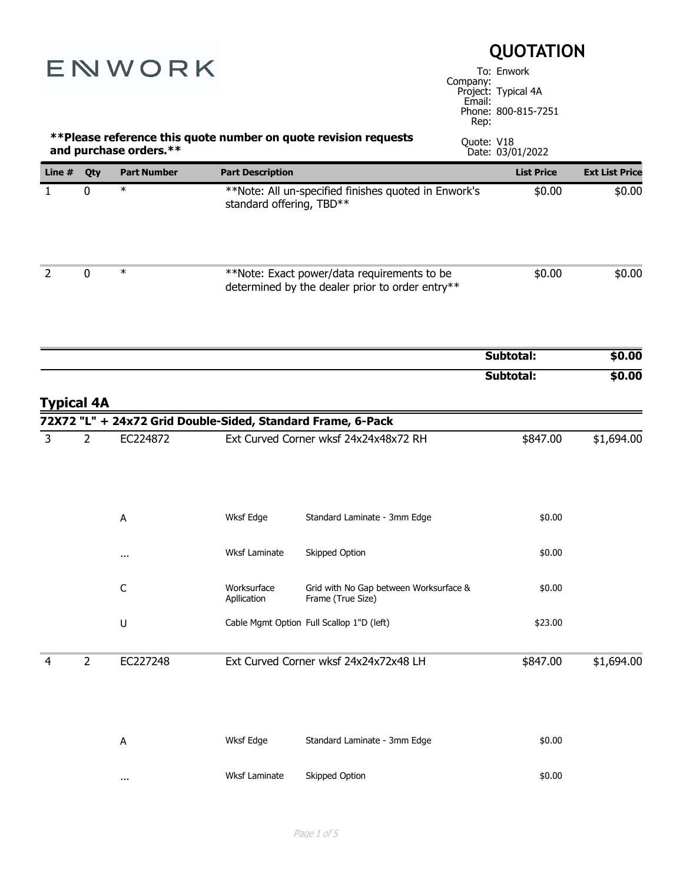| ENWORK            |                |                                                             | <b>QUOTATION</b><br>To: Enwork<br>Company: |                                                                                                |                |                                            |                       |
|-------------------|----------------|-------------------------------------------------------------|--------------------------------------------|------------------------------------------------------------------------------------------------|----------------|--------------------------------------------|-----------------------|
|                   |                |                                                             |                                            |                                                                                                | Email:<br>Rep: | Project: Typical 4A<br>Phone: 800-815-7251 |                       |
|                   |                | and purchase orders.**                                      |                                            | ** Please reference this quote number on quote revision requests                               | Quote: V18     | Date: 03/01/2022                           |                       |
| Line #            | Qty            | <b>Part Number</b>                                          | <b>Part Description</b>                    |                                                                                                |                | <b>List Price</b>                          | <b>Ext List Price</b> |
| $\mathbf{1}$      | 0              | $\ast$                                                      | standard offering, TBD**                   | **Note: All un-specified finishes quoted in Enwork's                                           |                | \$0.00                                     | \$0.00                |
| $\overline{2}$    | 0              | $\ast$                                                      |                                            | **Note: Exact power/data requirements to be<br>determined by the dealer prior to order entry** |                | \$0.00                                     | \$0.00                |
|                   |                |                                                             |                                            |                                                                                                |                | Subtotal:                                  | \$0.00                |
| <b>Typical 4A</b> |                | 72X72 "L" + 24x72 Grid Double-Sided, Standard Frame, 6-Pack |                                            |                                                                                                |                | Subtotal:                                  | \$0.00                |
| 3                 | $\overline{2}$ | EC224872                                                    |                                            | Ext Curved Corner wksf 24x24x48x72 RH                                                          |                | \$847.00                                   | \$1,694.00            |
|                   |                | Α                                                           | Wksf Edge                                  | Standard Laminate - 3mm Edge                                                                   |                | \$0.00                                     |                       |
|                   |                | $\cdots$                                                    | <b>Wksf Laminate</b>                       | Skipped Option                                                                                 |                | \$0.00                                     |                       |
|                   |                | C                                                           | Worksurface<br>Apllication                 | Grid with No Gap between Worksurface &<br>Frame (True Size)                                    |                | \$0.00                                     |                       |
|                   |                | U                                                           |                                            | Cable Mgmt Option Full Scallop 1"D (left)                                                      |                | \$23.00                                    |                       |
| 4                 | $\overline{2}$ | EC227248                                                    |                                            | Ext Curved Corner wksf 24x24x72x48 LH                                                          |                | \$847.00                                   | \$1,694.00            |
|                   |                | A                                                           | Wksf Edge                                  | Standard Laminate - 3mm Edge                                                                   |                | \$0.00                                     |                       |
|                   |                | $\cdots$                                                    | Wksf Laminate                              | Skipped Option                                                                                 |                | \$0.00                                     |                       |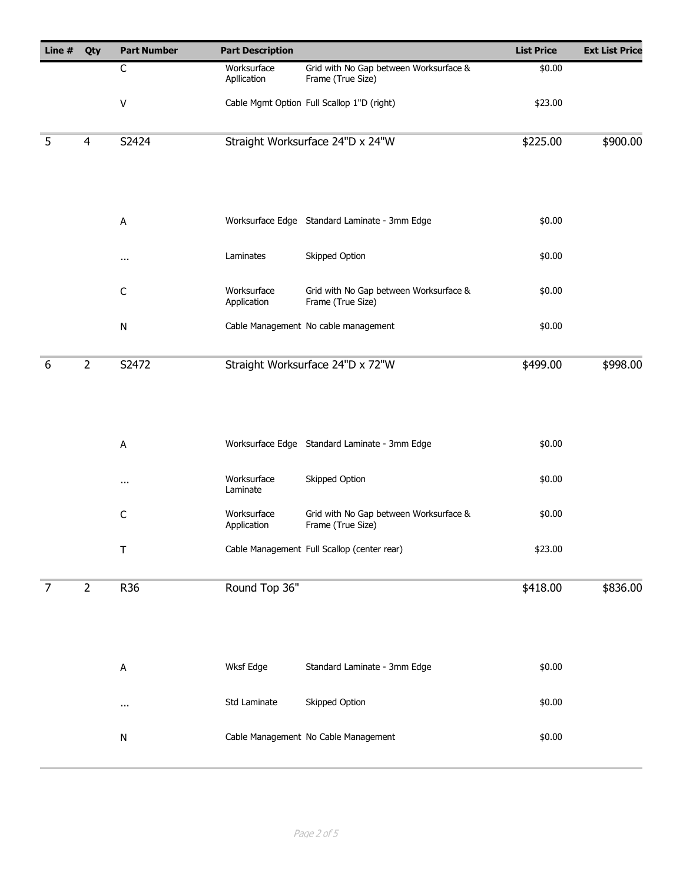| Line #         | Qty            | <b>Part Number</b> | <b>Part Description</b>    |                                                             | <b>List Price</b> | <b>Ext List Price</b> |
|----------------|----------------|--------------------|----------------------------|-------------------------------------------------------------|-------------------|-----------------------|
|                |                | $\mathsf C$        | Worksurface<br>Apllication | Grid with No Gap between Worksurface &<br>Frame (True Size) | \$0.00            |                       |
|                |                | V                  |                            | Cable Mgmt Option Full Scallop 1"D (right)                  | \$23.00           |                       |
| 5              | $\overline{4}$ | S2424              |                            | Straight Worksurface 24"D x 24"W                            | \$225.00          | \$900.00              |
|                |                | А                  |                            | Worksurface Edge Standard Laminate - 3mm Edge               | \$0.00            |                       |
|                |                | $\cdots$           | Laminates                  | Skipped Option                                              | \$0.00            |                       |
|                |                | $\mathsf C$        | Worksurface<br>Application | Grid with No Gap between Worksurface &<br>Frame (True Size) | \$0.00            |                       |
|                |                | ${\sf N}$          |                            | Cable Management No cable management                        | \$0.00            |                       |
| 6              | $\overline{2}$ | S2472              |                            | Straight Worksurface 24"D x 72"W                            | \$499.00          | \$998.00              |
|                |                | A                  |                            | Worksurface Edge Standard Laminate - 3mm Edge               | \$0.00            |                       |
|                |                | $\cdots$           | Worksurface<br>Laminate    | Skipped Option                                              | \$0.00            |                       |
|                |                | $\mathsf C$        | Worksurface<br>Application | Grid with No Gap between Worksurface &<br>Frame (True Size) | \$0.00            |                       |
|                |                | $\top$             |                            | Cable Management Full Scallop (center rear)                 | \$23.00           |                       |
| $\overline{7}$ | $\overline{2}$ | R36                | Round Top 36"              |                                                             | \$418.00          | \$836.00              |
|                |                | A                  | Wksf Edge                  | Standard Laminate - 3mm Edge                                | \$0.00            |                       |
|                |                | $\cdots$           | Std Laminate               | Skipped Option                                              | \$0.00            |                       |
|                |                | ${\sf N}$          |                            | Cable Management No Cable Management                        | \$0.00            |                       |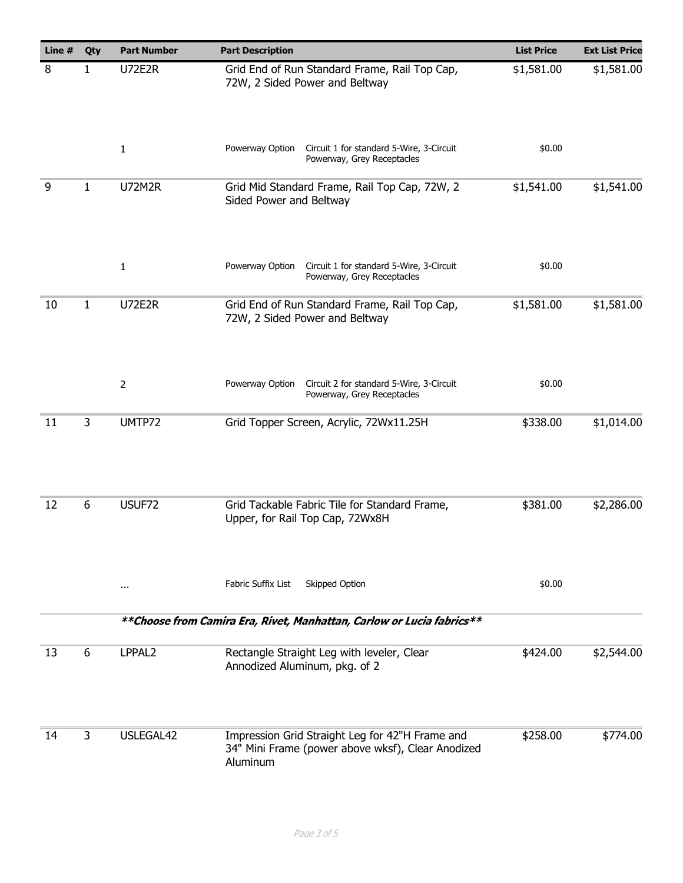| Line # | Qty          | <b>Part Number</b> | <b>Part Description</b>                                                                                          | <b>List Price</b> | <b>Ext List Price</b> |
|--------|--------------|--------------------|------------------------------------------------------------------------------------------------------------------|-------------------|-----------------------|
| 8      | 1            | <b>U72E2R</b>      | Grid End of Run Standard Frame, Rail Top Cap,<br>72W, 2 Sided Power and Beltway                                  | \$1,581.00        | \$1,581.00            |
|        |              | 1                  | Powerway Option<br>Circuit 1 for standard 5-Wire, 3-Circuit<br>Powerway, Grey Receptacles                        | \$0.00            |                       |
| 9      | 1            | <b>U72M2R</b>      | Grid Mid Standard Frame, Rail Top Cap, 72W, 2<br>Sided Power and Beltway                                         | \$1,541.00        | \$1,541.00            |
|        |              | $\mathbf{1}$       | Powerway Option<br>Circuit 1 for standard 5-Wire, 3-Circuit<br>Powerway, Grey Receptacles                        | \$0.00            |                       |
| 10     | $\mathbf{1}$ | <b>U72E2R</b>      | Grid End of Run Standard Frame, Rail Top Cap,<br>72W, 2 Sided Power and Beltway                                  | \$1,581.00        | \$1,581.00            |
|        |              | 2                  | Powerway Option<br>Circuit 2 for standard 5-Wire, 3-Circuit<br>Powerway, Grey Receptacles                        | \$0.00            |                       |
| 11     | 3            | UMTP72             | Grid Topper Screen, Acrylic, 72Wx11.25H                                                                          | \$338.00          | \$1,014.00            |
| 12     | 6            | USUF72             | Grid Tackable Fabric Tile for Standard Frame,<br>Upper, for Rail Top Cap, 72Wx8H                                 | \$381.00          | \$2,286.00            |
|        |              | $\cdots$           | Fabric Suffix List<br>Skipped Option                                                                             | \$0.00            |                       |
|        |              |                    | ** Choose from Camira Era, Rivet, Manhattan, Carlow or Lucia fabrics**                                           |                   |                       |
| 13     | 6            | LPPAL2             | Rectangle Straight Leg with leveler, Clear<br>Annodized Aluminum, pkg. of 2                                      | \$424.00          | \$2,544.00            |
| 14     | 3            | USLEGAL42          | Impression Grid Straight Leg for 42"H Frame and<br>34" Mini Frame (power above wksf), Clear Anodized<br>Aluminum | \$258.00          | \$774.00              |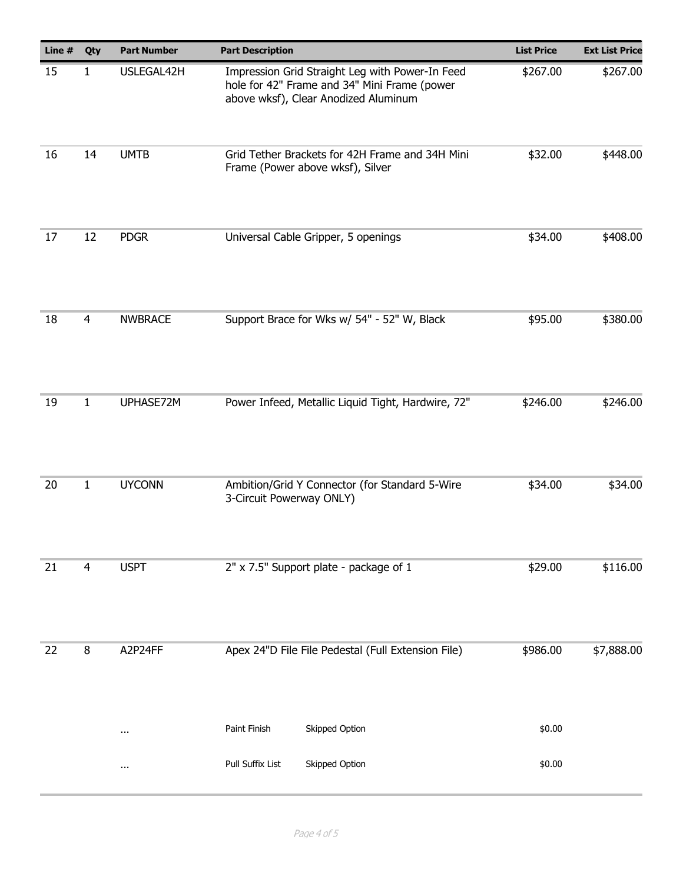| Line # | Qty                | <b>Part Number</b> | <b>Part Description</b>                                                                                                                 | <b>List Price</b> | <b>Ext List Price</b> |
|--------|--------------------|--------------------|-----------------------------------------------------------------------------------------------------------------------------------------|-------------------|-----------------------|
| 15     | 1                  | USLEGAL42H         | Impression Grid Straight Leg with Power-In Feed<br>hole for 42" Frame and 34" Mini Frame (power<br>above wksf), Clear Anodized Aluminum | \$267.00          | \$267.00              |
| 16     | 14                 | <b>UMTB</b>        | Grid Tether Brackets for 42H Frame and 34H Mini<br>Frame (Power above wksf), Silver                                                     | \$32.00           | \$448.00              |
| 17     | 12                 | <b>PDGR</b>        | Universal Cable Gripper, 5 openings                                                                                                     | \$34.00           | \$408.00              |
| 18     | 4                  | <b>NWBRACE</b>     | Support Brace for Wks w/ 54" - 52" W, Black                                                                                             | \$95.00           | \$380.00              |
| 19     | 1                  | UPHASE72M          | Power Infeed, Metallic Liquid Tight, Hardwire, 72"                                                                                      | \$246.00          | \$246.00              |
| 20     | $\mathbf{1}$       | <b>UYCONN</b>      | Ambition/Grid Y Connector (for Standard 5-Wire<br>3-Circuit Powerway ONLY)                                                              | \$34.00           | \$34.00               |
| 21     | 4                  | <b>USPT</b>        | 2" x 7.5" Support plate - package of 1                                                                                                  | \$29.00           | \$116.00              |
| 22     | $\bf 8$<br>A2P24FF |                    | Apex 24"D File File Pedestal (Full Extension File)                                                                                      | \$986.00          | \$7,888.00            |
|        |                    | $\cdots$           | Skipped Option<br>Paint Finish                                                                                                          | \$0.00            |                       |
|        |                    | $\cdots$           | Pull Suffix List<br>Skipped Option                                                                                                      | \$0.00            |                       |